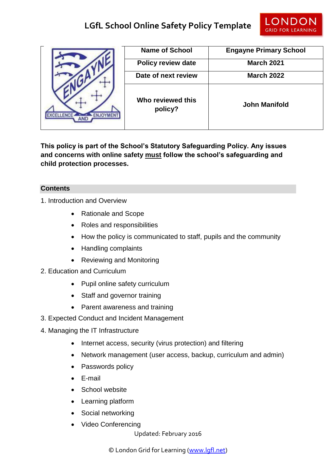

|  | <b>Name of School</b>        | <b>Engayne Primary School</b> |
|--|------------------------------|-------------------------------|
|  | <b>Policy review date</b>    | <b>March 2021</b>             |
|  | Date of next review          | <b>March 2022</b>             |
|  | Who reviewed this<br>policy? | <b>John Manifold</b>          |

**This policy is part of the School's Statutory Safeguarding Policy. Any issues and concerns with online safety must follow the school's safeguarding and child protection processes.**

# **Contents**

- 1. Introduction and Overview
	- Rationale and Scope
	- Roles and responsibilities
	- How the policy is communicated to staff, pupils and the community
	- Handling complaints
	- Reviewing and Monitoring
- 2. Education and Curriculum
	- Pupil online safety curriculum
	- Staff and governor training
	- Parent awareness and training
- 3. Expected Conduct and Incident Management
- 4. Managing the IT Infrastructure
	- Internet access, security (virus protection) and filtering
	- Network management (user access, backup, curriculum and admin)
	- Passwords policy
	- E-mail
	- School website
	- Learning platform
	- Social networking
	- Video Conferencing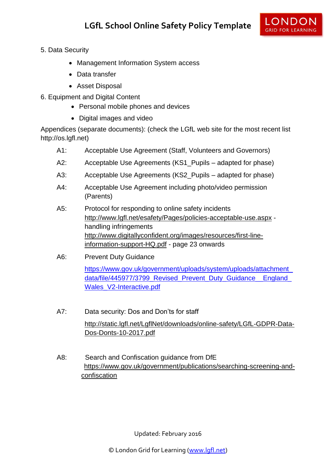

- 5. Data Security
	- Management Information System access
	- Data transfer
	- Asset Disposal
- 6. Equipment and Digital Content
	- Personal mobile phones and devices
	- Digital images and video

Appendices (separate documents): (check the LGfL web site for the most recent list http://os.lgfl.net)

- A1: Acceptable Use Agreement (Staff, Volunteers and Governors)
- A2: Acceptable Use Agreements (KS1 Pupils adapted for phase)
- A3: Acceptable Use Agreements (KS2\_Pupils adapted for phase)
- A4: Acceptable Use Agreement including photo/video permission (Parents)
- A5: Protocol for responding to online safety incidents <http://www.lgfl.net/esafety/Pages/policies-acceptable-use.aspx> handling infringements [http://www.digitallyconfident.org/images/resources/first-line](http://www.digitallyconfident.org/images/resources/first-line-information-support-HQ.pdf)[information-support-HQ.pdf](http://www.digitallyconfident.org/images/resources/first-line-information-support-HQ.pdf) - page 23 onwards
- A6: Prevent Duty Guidance

[https://www.gov.uk/government/uploads/system/uploads/attachment\\_](https://www.gov.uk/government/uploads/system/uploads/attachment_data/file/445977/3799_Revised_Prevent_Duty_Guidance__England_Wales_V2-Interactive.pdf) [data/file/445977/3799\\_Revised\\_Prevent\\_Duty\\_Guidance\\_\\_England\\_](https://www.gov.uk/government/uploads/system/uploads/attachment_data/file/445977/3799_Revised_Prevent_Duty_Guidance__England_Wales_V2-Interactive.pdf) [Wales\\_V2-Interactive.pdf](https://www.gov.uk/government/uploads/system/uploads/attachment_data/file/445977/3799_Revised_Prevent_Duty_Guidance__England_Wales_V2-Interactive.pdf)

- A7: Data security: Dos and Don'ts for staff [http://static.lgfl.net/LgflNet/downloads/online-safety/LGfL-GDPR-Data-](http://static.lgfl.net/LgflNet/downloads/online-safety/LGfL-GDPR-Data-Dos-Donts-10-2017.pdf)[Dos-Donts-10-2017.pdf](http://static.lgfl.net/LgflNet/downloads/online-safety/LGfL-GDPR-Data-Dos-Donts-10-2017.pdf)
- A8: Search and Confiscation guidance from DfE [https://www.gov.uk/government/publications/searching-screening-and](https://www.gov.uk/government/publications/searching-screening-and-%20confiscation)[confiscation](https://www.gov.uk/government/publications/searching-screening-and-%20confiscation)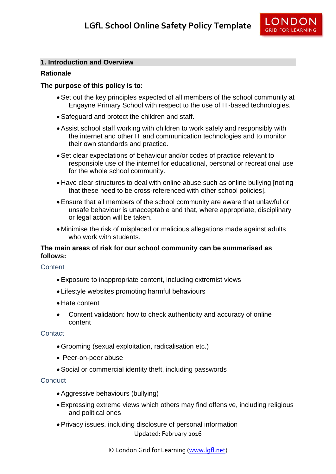# **1. Introduction and Overview**

# **Rationale**

# **The purpose of this policy is to:**

- Set out the key principles expected of all members of the school community at Engayne Primary School with respect to the use of IT-based technologies.
- Safeguard and protect the children and staff.
- Assist school staff working with children to work safely and responsibly with the internet and other IT and communication technologies and to monitor their own standards and practice.
- Set clear expectations of behaviour and/or codes of practice relevant to responsible use of the internet for educational, personal or recreational use for the whole school community.
- Have clear structures to deal with online abuse such as online bullying Inoting that these need to be cross-referenced with other school policies].
- Ensure that all members of the school community are aware that unlawful or unsafe behaviour is unacceptable and that, where appropriate, disciplinary or legal action will be taken.
- Minimise the risk of misplaced or malicious allegations made against adults who work with students.

# **The main areas of risk for our school community can be summarised as follows:**

#### **Content**

- Exposure to inappropriate content, including extremist views
- Lifestyle websites promoting harmful behaviours
- Hate content
- Content validation: how to check authenticity and accuracy of online content

#### **Contact**

- Grooming (sexual exploitation, radicalisation etc.)
- Peer-on-peer abuse
- Social or commercial identity theft, including passwords

#### **Conduct**

- Aggressive behaviours (bullying)
- Expressing extreme views which others may find offensive, including religious and political ones
- Privacy issues, including disclosure of personal information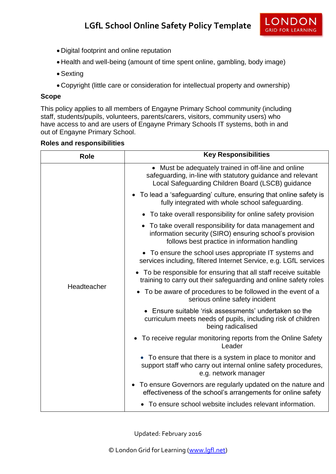- Digital footprint and online reputation
- Health and well-being (amount of time spent online, gambling, body image)
- Sexting
- Copyright (little care or consideration for intellectual property and ownership)

# **Scope**

This policy applies to all members of Engayne Primary School community (including staff, students/pupils, volunteers, parents/carers, visitors, community users) who have access to and are users of Engayne Primary Schools IT systems, both in and out of Engayne Primary School.

|  |  | <b>Roles and responsibilities</b> |
|--|--|-----------------------------------|
|--|--|-----------------------------------|

| <b>Role</b> | <b>Key Responsibilities</b>                                                                                                                                            |
|-------------|------------------------------------------------------------------------------------------------------------------------------------------------------------------------|
| Headteacher | • Must be adequately trained in off-line and online<br>safeguarding, in-line with statutory guidance and relevant<br>Local Safeguarding Children Board (LSCB) guidance |
|             | • To lead a 'safeguarding' culture, ensuring that online safety is<br>fully integrated with whole school safeguarding.                                                 |
|             | • To take overall responsibility for online safety provision                                                                                                           |
|             | • To take overall responsibility for data management and<br>information security (SIRO) ensuring school's provision<br>follows best practice in information handling   |
|             | • To ensure the school uses appropriate IT systems and<br>services including, filtered Internet Service, e.g. LGfL services                                            |
|             | • To be responsible for ensuring that all staff receive suitable<br>training to carry out their safeguarding and online safety roles                                   |
|             | To be aware of procedures to be followed in the event of a<br>$\bullet$<br>serious online safety incident                                                              |
|             | • Ensure suitable 'risk assessments' undertaken so the<br>curriculum meets needs of pupils, including risk of children<br>being radicalised                            |
|             | • To receive regular monitoring reports from the Online Safety<br>Leader                                                                                               |
|             | • To ensure that there is a system in place to monitor and<br>support staff who carry out internal online safety procedures,<br>e.g. network manager                   |
|             | • To ensure Governors are regularly updated on the nature and<br>effectiveness of the school's arrangements for online safety                                          |
|             | To ensure school website includes relevant information.                                                                                                                |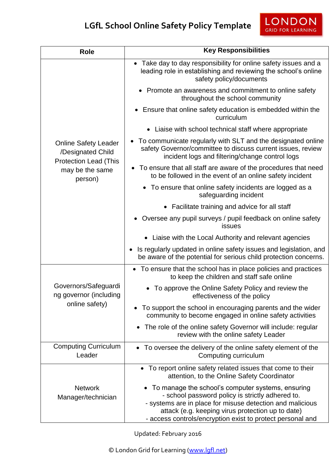| <b>Role</b>                                                                                                    | <b>Key Responsibilities</b>                                                                                                                                                                                                                                                           |  |
|----------------------------------------------------------------------------------------------------------------|---------------------------------------------------------------------------------------------------------------------------------------------------------------------------------------------------------------------------------------------------------------------------------------|--|
|                                                                                                                | • Take day to day responsibility for online safety issues and a<br>leading role in establishing and reviewing the school's online<br>safety policy/documents                                                                                                                          |  |
|                                                                                                                | Promote an awareness and commitment to online safety<br>throughout the school community                                                                                                                                                                                               |  |
|                                                                                                                | • Ensure that online safety education is embedded within the<br>curriculum                                                                                                                                                                                                            |  |
|                                                                                                                | Liaise with school technical staff where appropriate                                                                                                                                                                                                                                  |  |
| <b>Online Safety Leader</b><br>/Designated Child<br><b>Protection Lead (This</b><br>may be the same<br>person) | To communicate regularly with SLT and the designated online<br>safety Governor/committee to discuss current issues, review<br>incident logs and filtering/change control logs                                                                                                         |  |
|                                                                                                                | • To ensure that all staff are aware of the procedures that need<br>to be followed in the event of an online safety incident                                                                                                                                                          |  |
|                                                                                                                | • To ensure that online safety incidents are logged as a<br>safeguarding incident                                                                                                                                                                                                     |  |
|                                                                                                                | • Facilitate training and advice for all staff                                                                                                                                                                                                                                        |  |
|                                                                                                                | Oversee any pupil surveys / pupil feedback on online safety<br>issues                                                                                                                                                                                                                 |  |
|                                                                                                                | Liaise with the Local Authority and relevant agencies<br>$\bullet$                                                                                                                                                                                                                    |  |
|                                                                                                                | Is regularly updated in online safety issues and legislation, and<br>$\bullet$<br>be aware of the potential for serious child protection concerns.                                                                                                                                    |  |
|                                                                                                                | • To ensure that the school has in place policies and practices<br>to keep the children and staff safe online                                                                                                                                                                         |  |
| Governors/Safeguardi<br>ng governor (including<br>online safety)                                               | • To approve the Online Safety Policy and review the<br>effectiveness of the policy                                                                                                                                                                                                   |  |
|                                                                                                                | To support the school in encouraging parents and the wider<br>community to become engaged in online safety activities                                                                                                                                                                 |  |
|                                                                                                                | The role of the online safety Governor will include: regular<br>review with the online safety Leader                                                                                                                                                                                  |  |
| <b>Computing Curriculum</b><br>Leader                                                                          | • To oversee the delivery of the online safety element of the<br>Computing curriculum                                                                                                                                                                                                 |  |
| <b>Network</b><br>Manager/technician                                                                           | • To report online safety related issues that come to their<br>attention, to the Online Safety Coordinator                                                                                                                                                                            |  |
|                                                                                                                | To manage the school's computer systems, ensuring<br>- school password policy is strictly adhered to.<br>- systems are in place for misuse detection and malicious<br>attack (e.g. keeping virus protection up to date)<br>- access controls/encryption exist to protect personal and |  |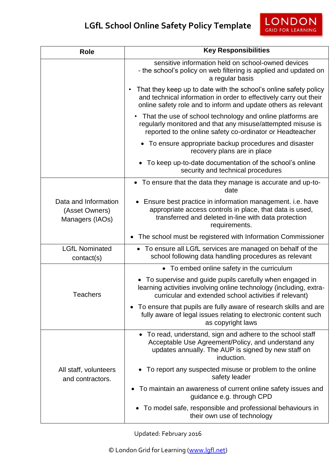| <b>Role</b>                                               | <b>Key Responsibilities</b>                                                                                                                                                                             |  |
|-----------------------------------------------------------|---------------------------------------------------------------------------------------------------------------------------------------------------------------------------------------------------------|--|
|                                                           | sensitive information held on school-owned devices<br>- the school's policy on web filtering is applied and updated on<br>a regular basis                                                               |  |
|                                                           | That they keep up to date with the school's online safety policy<br>and technical information in order to effectively carry out their<br>online safety role and to inform and update others as relevant |  |
|                                                           | That the use of school technology and online platforms are<br>٠<br>regularly monitored and that any misuse/attempted misuse is<br>reported to the online safety co-ordinator or Headteacher             |  |
|                                                           | • To ensure appropriate backup procedures and disaster<br>recovery plans are in place                                                                                                                   |  |
|                                                           | • To keep up-to-date documentation of the school's online<br>security and technical procedures                                                                                                          |  |
|                                                           | • To ensure that the data they manage is accurate and up-to-<br>date                                                                                                                                    |  |
| Data and Information<br>(Asset Owners)<br>Managers (IAOs) | Ensure best practice in information management. i.e. have<br>appropriate access controls in place, that data is used,<br>transferred and deleted in-line with data protection<br>requirements.          |  |
|                                                           | The school must be registered with Information Commissioner<br>$\bullet$                                                                                                                                |  |
| <b>LGfL Nominated</b><br>contact(s)                       | • To ensure all LGfL services are managed on behalf of the<br>school following data handling procedures as relevant                                                                                     |  |
|                                                           | • To embed online safety in the curriculum                                                                                                                                                              |  |
| <b>Teachers</b>                                           | • To supervise and guide pupils carefully when engaged in<br>learning activities involving online technology (including, extra-<br>curricular and extended school activities if relevant)               |  |
|                                                           | To ensure that pupils are fully aware of research skills and are<br>fully aware of legal issues relating to electronic content such<br>as copyright laws                                                |  |
| All staff, volunteers<br>and contractors.                 | • To read, understand, sign and adhere to the school staff<br>Acceptable Use Agreement/Policy, and understand any<br>updates annually. The AUP is signed by new staff on<br>induction.                  |  |
|                                                           | To report any suspected misuse or problem to the online<br>safety leader                                                                                                                                |  |
|                                                           | To maintain an awareness of current online safety issues and<br>guidance e.g. through CPD                                                                                                               |  |
|                                                           | • To model safe, responsible and professional behaviours in<br>their own use of technology                                                                                                              |  |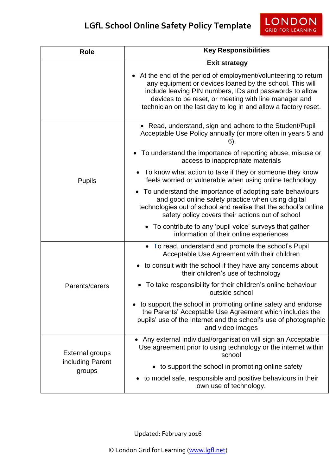| <b>Role</b>                                          | <b>Key Responsibilities</b>                                                                                                                                                                                                                                                                                        |  |
|------------------------------------------------------|--------------------------------------------------------------------------------------------------------------------------------------------------------------------------------------------------------------------------------------------------------------------------------------------------------------------|--|
|                                                      | <b>Exit strategy</b>                                                                                                                                                                                                                                                                                               |  |
|                                                      | • At the end of the period of employment/volunteering to return<br>any equipment or devices loaned by the school. This will<br>include leaving PIN numbers, IDs and passwords to allow<br>devices to be reset, or meeting with line manager and<br>technician on the last day to log in and allow a factory reset. |  |
| <b>Pupils</b>                                        | • Read, understand, sign and adhere to the Student/Pupil<br>Acceptable Use Policy annually (or more often in years 5 and<br>$6$ ).                                                                                                                                                                                 |  |
|                                                      | To understand the importance of reporting abuse, misuse or<br>access to inappropriate materials                                                                                                                                                                                                                    |  |
|                                                      | • To know what action to take if they or someone they know<br>feels worried or vulnerable when using online technology                                                                                                                                                                                             |  |
|                                                      | • To understand the importance of adopting safe behaviours<br>and good online safety practice when using digital<br>technologies out of school and realise that the school's online<br>safety policy covers their actions out of school                                                                            |  |
|                                                      | • To contribute to any 'pupil voice' surveys that gather<br>information of their online experiences                                                                                                                                                                                                                |  |
| Parents/carers                                       | • To read, understand and promote the school's Pupil<br>Acceptable Use Agreement with their children                                                                                                                                                                                                               |  |
|                                                      | • to consult with the school if they have any concerns about<br>their children's use of technology                                                                                                                                                                                                                 |  |
|                                                      | To take responsibility for their children's online behaviour<br>outside school                                                                                                                                                                                                                                     |  |
|                                                      | to support the school in promoting online safety and endorse<br>the Parents' Acceptable Use Agreement which includes the<br>pupils' use of the Internet and the school's use of photographic<br>and video images                                                                                                   |  |
| <b>External groups</b><br>including Parent<br>groups | Any external individual/organisation will sign an Acceptable<br>Use agreement prior to using technology or the internet within<br>school                                                                                                                                                                           |  |
|                                                      | to support the school in promoting online safety                                                                                                                                                                                                                                                                   |  |
|                                                      | to model safe, responsible and positive behaviours in their<br>own use of technology.                                                                                                                                                                                                                              |  |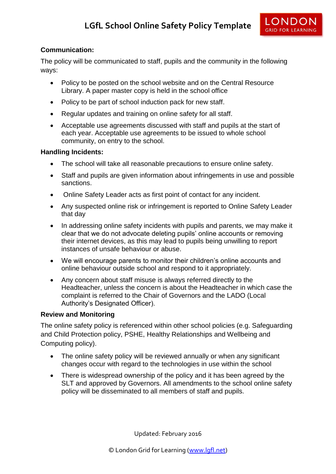

# **Communication:**

The policy will be communicated to staff, pupils and the community in the following ways:

- Policy to be posted on the school website and on the Central Resource Library. A paper master copy is held in the school office
- Policy to be part of school induction pack for new staff.
- Regular updates and training on online safety for all staff.
- Acceptable use agreements discussed with staff and pupils at the start of each year. Acceptable use agreements to be issued to whole school community, on entry to the school.

#### **Handling Incidents:**

- The school will take all reasonable precautions to ensure online safety.
- Staff and pupils are given information about infringements in use and possible sanctions.
- Online Safety Leader acts as first point of contact for any incident.
- Any suspected online risk or infringement is reported to Online Safety Leader that day
- In addressing online safety incidents with pupils and parents, we may make it clear that we do not advocate deleting pupils' online accounts or removing their internet devices, as this may lead to pupils being unwilling to report instances of unsafe behaviour or abuse.
- We will encourage parents to monitor their children's online accounts and online behaviour outside school and respond to it appropriately.
- Any concern about staff misuse is always referred directly to the Headteacher, unless the concern is about the Headteacher in which case the complaint is referred to the Chair of Governors and the LADO (Local Authority's Designated Officer).

#### **Review and Monitoring**

The online safety policy is referenced within other school policies (e.g. Safeguarding and Child Protection policy, PSHE, Healthy Relationships and Wellbeing and Computing policy).

- The online safety policy will be reviewed annually or when any significant changes occur with regard to the technologies in use within the school
- There is widespread ownership of the policy and it has been agreed by the SLT and approved by Governors. All amendments to the school online safety policy will be disseminated to all members of staff and pupils.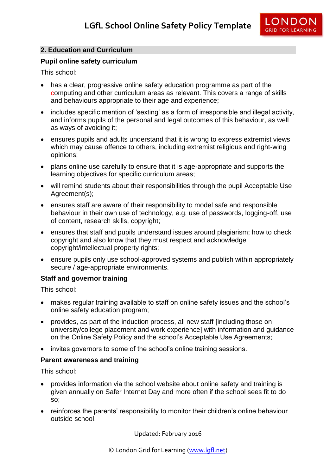

# **2. Education and Curriculum**

#### **Pupil online safety curriculum**

This school:

- has a clear, progressive online safety education programme as part of the computing and other curriculum areas as relevant. This covers a range of skills and behaviours appropriate to their age and experience;
- includes specific mention of 'sexting' as a form of irresponsible and illegal activity, and informs pupils of the personal and legal outcomes of this behaviour, as well as ways of avoiding it;
- ensures pupils and adults understand that it is wrong to express extremist views which may cause offence to others, including extremist religious and right-wing opinions;
- plans online use carefully to ensure that it is age-appropriate and supports the learning objectives for specific curriculum areas;
- will remind students about their responsibilities through the pupil Acceptable Use Agreement(s);
- ensures staff are aware of their responsibility to model safe and responsible behaviour in their own use of technology, e.g. use of passwords, logging-off, use of content, research skills, copyright;
- ensures that staff and pupils understand issues around plagiarism; how to check copyright and also know that they must respect and acknowledge copyright/intellectual property rights;
- ensure pupils only use school-approved systems and publish within appropriately secure / age-appropriate environments.

#### **Staff and governor training**

This school:

- makes regular training available to staff on online safety issues and the school's online safety education program;
- provides, as part of the induction process, all new staff [including those on university/college placement and work experience] with information and guidance on the Online Safety Policy and the school's Acceptable Use Agreements;
- invites governors to some of the school's online training sessions.

#### **Parent awareness and training**

This school:

- provides information via the school website about online safety and training is given annually on Safer Internet Day and more often if the school sees fit to do so;
- reinforces the parents' responsibility to monitor their children's online behaviour outside school.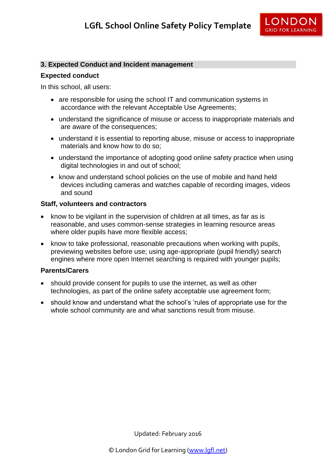

#### **3. Expected Conduct and Incident management**

#### **Expected conduct**

In this school, all users:

- are responsible for using the school IT and communication systems in accordance with the relevant Acceptable Use Agreements;
- understand the significance of misuse or access to inappropriate materials and are aware of the consequences;
- understand it is essential to reporting abuse, misuse or access to inappropriate materials and know how to do so;
- understand the importance of adopting good online safety practice when using digital technologies in and out of school;
- know and understand school policies on the use of mobile and hand held devices including cameras and watches capable of recording images, videos and sound

#### **Staff, volunteers and contractors**

- know to be vigilant in the supervision of children at all times, as far as is reasonable, and uses common-sense strategies in learning resource areas where older pupils have more flexible access:
- know to take professional, reasonable precautions when working with pupils, previewing websites before use; using age-appropriate (pupil friendly) search engines where more open Internet searching is required with younger pupils;

#### **Parents/Carers**

- should provide consent for pupils to use the internet, as well as other technologies, as part of the online safety acceptable use agreement form;
- should know and understand what the school's 'rules of appropriate use for the whole school community are and what sanctions result from misuse.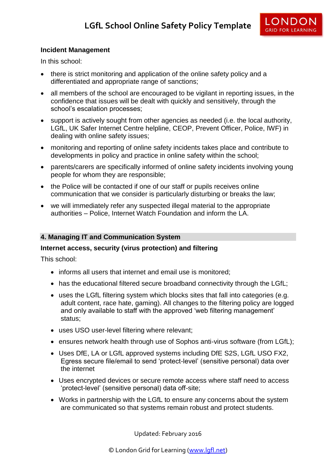

# **Incident Management**

In this school:

- there is strict monitoring and application of the online safety policy and a differentiated and appropriate range of sanctions;
- all members of the school are encouraged to be vigilant in reporting issues, in the confidence that issues will be dealt with quickly and sensitively, through the school's escalation processes;
- support is actively sought from other agencies as needed (i.e. the local authority, LGfL, UK Safer Internet Centre helpline, CEOP, Prevent Officer, Police, IWF) in dealing with online safety issues;
- monitoring and reporting of online safety incidents takes place and contribute to developments in policy and practice in online safety within the school;
- parents/carers are specifically informed of online safety incidents involving young people for whom they are responsible;
- the Police will be contacted if one of our staff or pupils receives online communication that we consider is particularly disturbing or breaks the law;
- we will immediately refer any suspected illegal material to the appropriate authorities – Police, Internet Watch Foundation and inform the LA.

## **4. Managing IT and Communication System**

#### **Internet access, security (virus protection) and filtering**

This school:

- informs all users that internet and email use is monitored;
- has the educational filtered secure broadband connectivity through the LGfL:
- uses the LGfL filtering system which blocks sites that fall into categories (e.g. adult content, race hate, gaming). All changes to the filtering policy are logged and only available to staff with the approved 'web filtering management' status;
- uses USO user-level filtering where relevant;
- ensures network health through use of Sophos anti-virus software (from LGfL);
- Uses DfE, LA or LGfL approved systems including DfE S2S, LGfL USO FX2, Egress secure file/email to send 'protect-level' (sensitive personal) data over the internet
- Uses encrypted devices or secure remote access where staff need to access 'protect-level' (sensitive personal) data off-site;
- Works in partnership with the LGfL to ensure any concerns about the system are communicated so that systems remain robust and protect students.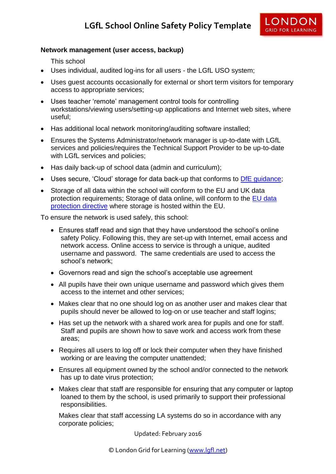

# **Network management (user access, backup)**

This school

- Uses individual, audited log-ins for all users the LGfL USO system;
- Uses guest accounts occasionally for external or short term visitors for temporary access to appropriate services;
- Uses teacher 'remote' management control tools for controlling workstations/viewing users/setting-up applications and Internet web sites, where useful;
- Has additional local network monitoring/auditing software installed;
- Ensures the Systems Administrator/network manager is up-to-date with LGfL services and policies/requires the Technical Support Provider to be up-to-date with LGfL services and policies;
- Has daily back-up of school data (admin and curriculum);
- Uses secure, 'Cloud' storage for data back-up that conforms to DfE quidance;
- Storage of all data within the school will conform to the EU and UK data protection requirements; Storage of data online, will conform to the [EU data](http://en.wikipedia.org/wiki/Data_Protection_Directive)  [protection directive](http://en.wikipedia.org/wiki/Data_Protection_Directive) where storage is hosted within the EU.

To ensure the network is used safely, this school:

- Ensures staff read and sign that they have understood the school's online safety Policy. Following this, they are set-up with Internet, email access and network access. Online access to service is through a unique, audited username and password. The same credentials are used to access the school's network;
- Governors read and sign the school's acceptable use agreement
- All pupils have their own unique username and password which gives them access to the internet and other services;
- Makes clear that no one should log on as another user and makes clear that pupils should never be allowed to log-on or use teacher and staff logins;
- Has set up the network with a shared work area for pupils and one for staff. Staff and pupils are shown how to save work and access work from these areas;
- Requires all users to log off or lock their computer when they have finished working or are leaving the computer unattended;
- Ensures all equipment owned by the school and/or connected to the network has up to date virus protection;
- Makes clear that staff are responsible for ensuring that any computer or laptop loaned to them by the school, is used primarily to support their professional responsibilities.

Makes clear that staff accessing LA systems do so in accordance with any corporate policies;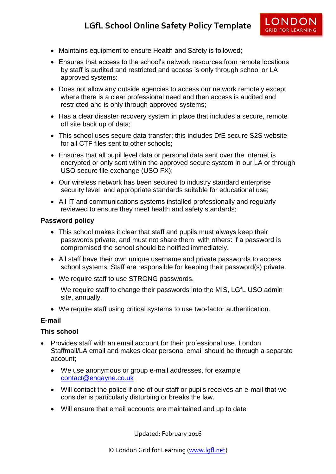- Maintains equipment to ensure Health and Safety is followed;
- Ensures that access to the school's network resources from remote locations by staff is audited and restricted and access is only through school or LA approved systems:
- Does not allow any outside agencies to access our network remotely except where there is a clear professional need and then access is audited and restricted and is only through approved systems;
- Has a clear disaster recovery system in place that includes a secure, remote off site back up of data;
- This school uses secure data transfer; this includes DfE secure S2S website for all CTF files sent to other schools;
- Ensures that all pupil level data or personal data sent over the Internet is encrypted or only sent within the approved secure system in our LA or through USO secure file exchange (USO FX);
- Our wireless network has been secured to industry standard enterprise security level and appropriate standards suitable for educational use;
- All IT and communications systems installed professionally and regularly reviewed to ensure they meet health and safety standards;

#### **Password policy**

- This school makes it clear that staff and pupils must always keep their passwords private, and must not share them with others: if a password is compromised the school should be notified immediately.
- All staff have their own unique username and private passwords to access school systems. Staff are responsible for keeping their password(s) private.
- We require staff to use STRONG passwords.

We require staff to change their passwords into the MIS, LGfL USO admin site, annually.

We require staff using critical systems to use two-factor authentication.

#### **E-mail**

#### **This school**

- Provides staff with an email account for their professional use, London Staffmail/LA email and makes clear personal email should be through a separate account;
	- We use anonymous or group e-mail addresses, for example [contact@engayne.co.uk](mailto:contact@engayne.co.uk)
	- Will contact the police if one of our staff or pupils receives an e-mail that we consider is particularly disturbing or breaks the law.
	- Will ensure that email accounts are maintained and up to date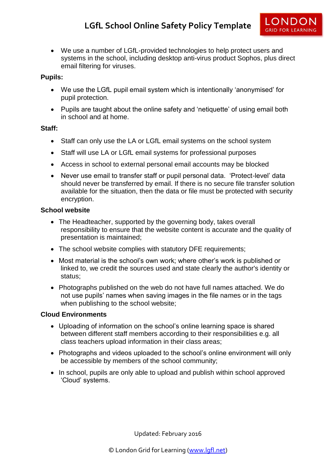

 We use a number of LGfL-provided technologies to help protect users and systems in the school, including desktop anti-virus product Sophos, plus direct email filtering for viruses.

# **Pupils:**

- We use the LGfL pupil email system which is intentionally 'anonymised' for pupil protection.
- Pupils are taught about the online safety and 'netiquette' of using email both in school and at home.

#### **Staff:**

- Staff can only use the LA or LGfL email systems on the school system
- Staff will use LA or LGfL email systems for professional purposes
- Access in school to external personal email accounts may be blocked
- Never use email to transfer staff or pupil personal data. 'Protect-level' data should never be transferred by email. If there is no secure file transfer solution available for the situation, then the data or file must be protected with security encryption.

# **School website**

- The Headteacher, supported by the governing body, takes overall responsibility to ensure that the website content is accurate and the quality of presentation is maintained;
- The school website complies with statutory DFE requirements;
- Most material is the school's own work; where other's work is published or linked to, we credit the sources used and state clearly the author's identity or status;
- Photographs published on the web do not have full names attached. We do not use pupils' names when saving images in the file names or in the tags when publishing to the school website;

# **Cloud Environments**

- Uploading of information on the school's online learning space is shared between different staff members according to their responsibilities e.g. all class teachers upload information in their class areas;
- Photographs and videos uploaded to the school's online environment will only be accessible by members of the school community;
- In school, pupils are only able to upload and publish within school approved 'Cloud' systems.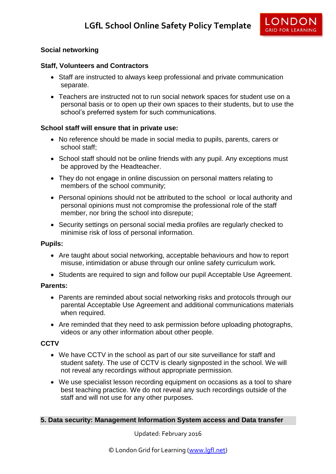

# **Social networking**

#### **Staff, Volunteers and Contractors**

- Staff are instructed to always keep professional and private communication separate.
- Teachers are instructed not to run social network spaces for student use on a personal basis or to open up their own spaces to their students, but to use the school's preferred system for such communications.

#### **School staff will ensure that in private use:**

- No reference should be made in social media to pupils, parents, carers or school staff;
- School staff should not be online friends with any pupil. Any exceptions must be approved by the Headteacher.
- They do not engage in online discussion on personal matters relating to members of the school community;
- Personal opinions should not be attributed to the school or local authority and personal opinions must not compromise the professional role of the staff member, nor bring the school into disrepute;
- Security settings on personal social media profiles are regularly checked to minimise risk of loss of personal information.

#### **Pupils:**

- Are taught about social networking, acceptable behaviours and how to report misuse, intimidation or abuse through our online safety curriculum work.
- Students are required to sign and follow our pupil Acceptable Use Agreement.

#### **Parents:**

- Parents are reminded about social networking risks and protocols through our parental Acceptable Use Agreement and additional communications materials when required.
- Are reminded that they need to ask permission before uploading photographs, videos or any other information about other people.

#### **CCTV**

- We have CCTV in the school as part of our site surveillance for staff and student safety. The use of CCTV is clearly signposted in the school. We will not reveal any recordings without appropriate permission.
- We use specialist lesson recording equipment on occasions as a tool to share best teaching practice. We do not reveal any such recordings outside of the staff and will not use for any other purposes.

#### **5. Data security: Management Information System access and Data transfer**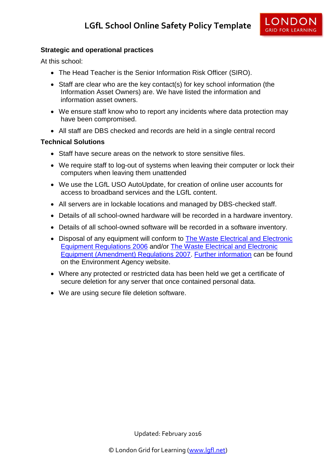

# **Strategic and operational practices**

At this school:

- The Head Teacher is the Senior Information Risk Officer (SIRO).
- Staff are clear who are the key contact(s) for key school information (the Information Asset Owners) are. We have listed the information and information asset owners.
- We ensure staff know who to report any incidents where data protection may have been compromised.
- All staff are DBS checked and records are held in a single central record

# **Technical Solutions**

- Staff have secure areas on the network to store sensitive files.
- We require staff to log-out of systems when leaving their computer or lock their computers when leaving them unattended
- We use the LGfL USO AutoUpdate, for creation of online user accounts for access to broadband services and the LGfL content.
- All servers are in lockable locations and managed by DBS-checked staff.
- Details of all school-owned hardware will be recorded in a hardware inventory.
- Details of all school-owned software will be recorded in a software inventory.
- Disposal of any equipment will conform to The Waste Electrical and Electronic [Equipment Regulations 2006](http://www.legislation.gov.uk/uksi/2006/3289/pdfs/uksi_20063289_en.pdf) and/or [The Waste Electrical and Electronic](http://www.legislation.gov.uk/uksi/2007/3454/pdfs/uksi_20073454_en.pdf)  [Equipment \(Amendment\) Regulations 2007.](http://www.legislation.gov.uk/uksi/2007/3454/pdfs/uksi_20073454_en.pdf) [Further information](http://www.environment-agency.gov.uk/business/topics/waste/32084.aspx) can be found on the Environment Agency website.
- Where any protected or restricted data has been held we get a certificate of secure deletion for any server that once contained personal data.
- We are using secure file deletion software.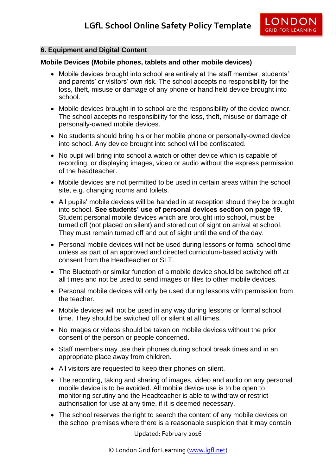

# **6. Equipment and Digital Content**

#### **Mobile Devices (Mobile phones, tablets and other mobile devices)**

- Mobile devices brought into school are entirely at the staff member, students' and parents' or visitors' own risk. The school accepts no responsibility for the loss, theft, misuse or damage of any phone or hand held device brought into school.
- Mobile devices brought in to school are the responsibility of the device owner. The school accepts no responsibility for the loss, theft, misuse or damage of personally-owned mobile devices.
- No students should bring his or her mobile phone or personally-owned device into school. Any device brought into school will be confiscated.
- No pupil will bring into school a watch or other device which is capable of recording, or displaying images, video or audio without the express permission of the headteacher.
- Mobile devices are not permitted to be used in certain areas within the school site, e.g. changing rooms and toilets.
- All pupils' mobile devices will be handed in at reception should they be brought into school. **See students' use of personal devices section on page 19.**  Student personal mobile devices which are brought into school, must be turned off (not placed on silent) and stored out of sight on arrival at school. They must remain turned off and out of sight until the end of the day.
- Personal mobile devices will not be used during lessons or formal school time unless as part of an approved and directed curriculum-based activity with consent from the Headteacher or SLT.
- The Bluetooth or similar function of a mobile device should be switched off at all times and not be used to send images or files to other mobile devices.
- Personal mobile devices will only be used during lessons with permission from the teacher.
- Mobile devices will not be used in any way during lessons or formal school time. They should be switched off or silent at all times.
- No images or videos should be taken on mobile devices without the prior consent of the person or people concerned.
- Staff members may use their phones during school break times and in an appropriate place away from children.
- All visitors are requested to keep their phones on silent.
- The recording, taking and sharing of images, video and audio on any personal mobile device is to be avoided. All mobile device use is to be open to monitoring scrutiny and the Headteacher is able to withdraw or restrict authorisation for use at any time, if it is deemed necessary.
- The school reserves the right to search the content of any mobile devices on the school premises where there is a reasonable suspicion that it may contain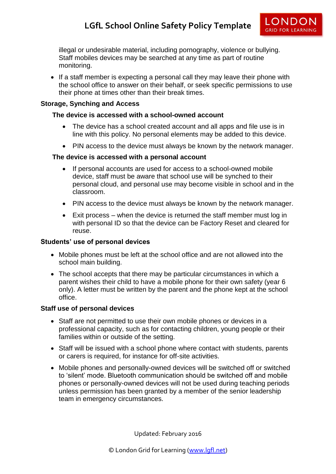illegal or undesirable material, including pornography, violence or bullying. Staff mobiles devices may be searched at any time as part of routine monitoring.

• If a staff member is expecting a personal call they may leave their phone with the school office to answer on their behalf, or seek specific permissions to use their phone at times other than their break times.

# **Storage, Synching and Access**

## **The device is accessed with a school-owned account**

- The device has a school created account and all apps and file use is in line with this policy. No personal elements may be added to this device.
- PIN access to the device must always be known by the network manager.

# **The device is accessed with a personal account**

- If personal accounts are used for access to a school-owned mobile device, staff must be aware that school use will be synched to their personal cloud, and personal use may become visible in school and in the classroom.
- PIN access to the device must always be known by the network manager.
- Exit process when the device is returned the staff member must log in with personal ID so that the device can be Factory Reset and cleared for reuse.

#### **Students' use of personal devices**

- Mobile phones must be left at the school office and are not allowed into the school main building.
- The school accepts that there may be particular circumstances in which a parent wishes their child to have a mobile phone for their own safety (year 6 only). A letter must be written by the parent and the phone kept at the school office.

#### **Staff use of personal devices**

- Staff are not permitted to use their own mobile phones or devices in a professional capacity, such as for contacting children, young people or their families within or outside of the setting.
- Staff will be issued with a school phone where contact with students, parents or carers is required, for instance for off-site activities.
- Mobile phones and personally-owned devices will be switched off or switched to 'silent' mode. Bluetooth communication should be switched off and mobile phones or personally-owned devices will not be used during teaching periods unless permission has been granted by a member of the senior leadership team in emergency circumstances.